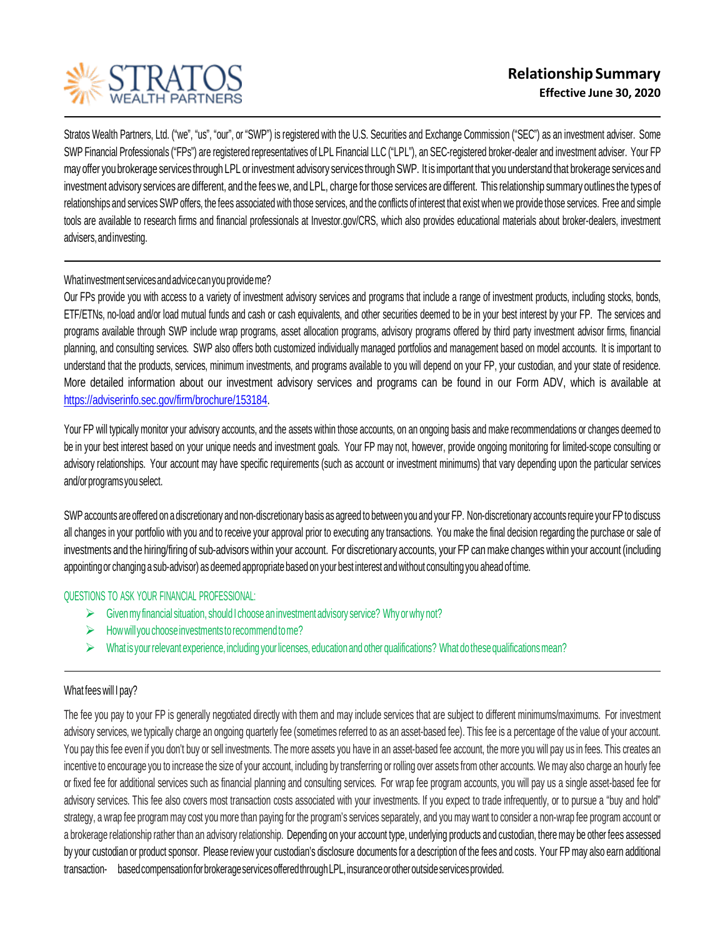

Stratos Wealth Partners, Ltd. ("we", "us", "our", or "SWP") is registered with the U.S. Securities and Exchange Commission ("SEC") as an investment adviser. Some SWP Financial Professionals ("FPs") are registered representatives of LPL Financial LLC ("LPL"), an SEC-registered broker-dealer and investment adviser. Your FP may offer you brokerage services through LPL or investment advisory services through SWP. It is important that you understand that brokerage services and investment advisory services are different, and the fees we, and LPL, charge for those services are different. This relationship summary outlines the types of relationships and services SWP offers, the fees associated with those services, and the conflicts of interest that exist when we provide those services. Free and simple tools are available to research firms and financial professionals at Investor.gov/CRS, which also provides educational materials about broker-dealers, investment advisers,andinvesting.

## Whatinvestmentservicesandadvicecanyouprovideme?

Our FPs provide you with access to a variety of investment advisory services and programs that include a range of investment products, including stocks, bonds, ETF/ETNs, no-load and/or load mutual funds and cash or cash equivalents, and other securities deemed to be in your best interest by your FP. The services and programs available through SWP include wrap programs, asset allocation programs, advisory programs offered by third party investment advisor firms, financial planning, and consulting services. SWP also offers both customized individually managed portfolios and management based on model accounts. It is important to understand that the products, services, minimum investments, and programs available to you will depend on your FP, your custodian, and your state of residence. More detailed information about our investment advisory services and programs can be found in our Form ADV, which is available at [https://adviserinfo.sec.gov/firm/brochure/153184.](https://adviserinfo.sec.gov/firm/brochure/153184)

Your FP will typically monitor your advisory accounts, and the assets within those accounts, on an ongoing basis and make recommendations or changes deemed to be in your best interest based on your unique needs and investment goals. Your FP may not, however, provide ongoing monitoring for limited-scope consulting or advisory relationships. Your account may have specific requirements (such as account or investment minimums) that vary depending upon the particular services and/or programs you select.

SWP accounts are offered on a discretionary and non-discretionary basis as agreed to between you and your FP. Non-discretionary accounts require your FP to discuss all changes in your portfolio with you and to receive your approval prior to executing any transactions. You make the final decision regarding the purchase or sale of investments and the hiring/firing of sub-advisors within your account. For discretionary accounts, your FP can make changes within your account (including appointingor changing a sub-advisor) as deemed appropriatebased on your best interest andwithout consultingyou ahead of time.

## QUESTIONS TO ASK YOUR FINANCIAL PROFESSIONAL:

- $\triangleright$  Given my financial situation, should I choose an investment advisory service? Why or why not?
- $\triangleright$  How will you choose investments to recommend to me?
- $\triangleright$  What is your relevant experience, including your licenses, education and other qualifications? What do these qualifications mean?

## What fees will I pay?

The fee you pay to your FP is generally negotiated directly with them and may include services that are subject to different minimums/maximums. For investment advisory services, we typically charge an ongoing quarterly fee (sometimes referred to as an asset-based fee). This fee is a percentage of the value of your account. You pay this fee even if you don't buy or sell investments. The more assets you have in an asset-based fee account, the more you will pay us in fees. This creates an incentive to encourage you to increase the size of your account, including by transferring or rolling over assets from other accounts. We may also charge an hourly fee or fixed fee for additional services such as financial planning and consulting services. For wrap fee program accounts, you will pay us a single asset-based fee for advisory services. This fee also covers most transaction costs associated with your investments. If you expect to trade infrequently, or to pursue a "buy and hold" strategy, a wrap fee program may cost you more than paying for the program's services separately, and you may want to consider a non-wrap fee program account or a brokerage relationship rather than an advisory relationship. Depending on your account type, underlying products and custodian, there may be other fees assessed by your custodian or product sponsor. Please review your custodian's disclosure documents for a description of the fees and costs. Your FP may also earn additional transaction- basedcompensationforbrokerageservicesofferedthroughLPL,insuranceorotheroutsideservicesprovided.